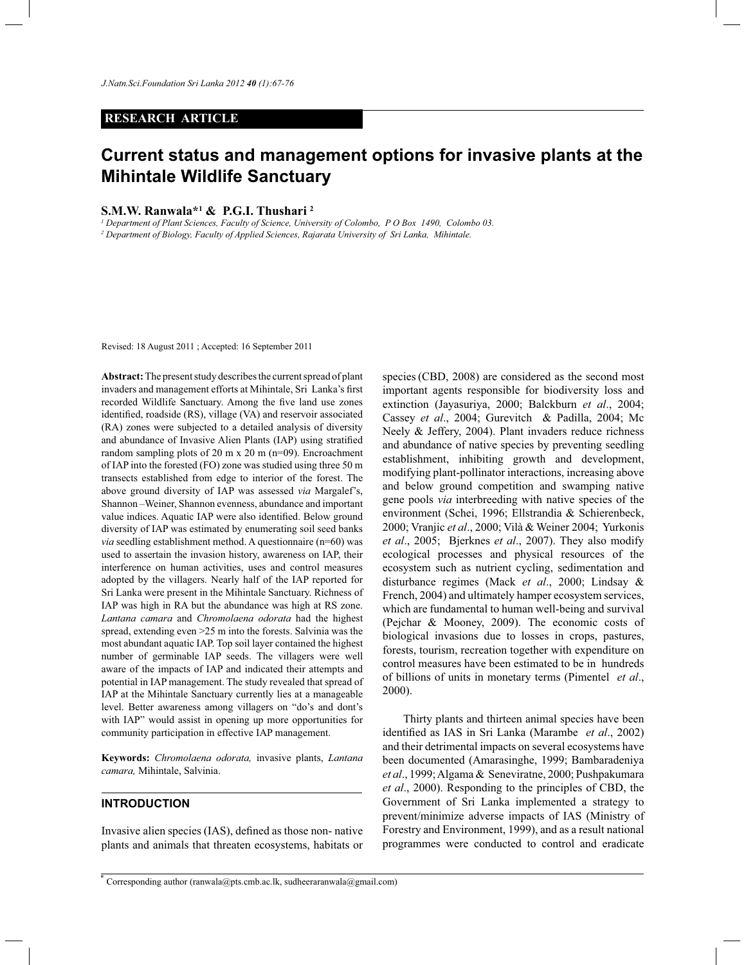## **RESEARCH ARTICLE**

# **Current status and management options for invasive plants at the Mihintale Wildlife Sanctuary**

# **S.M.W. Ranwala\*<sup>1</sup> & P.G.I. Thushari <sup>2</sup>**

*1 Department of Plant Sciences, Faculty of Science, University of Colombo, P O Box 1490, Colombo 03. 2 Department of Biology, Faculty of Applied Sciences, Rajarata University of Sri Lanka, Mihintale.* 

Revised: 18 August 2011 ; Accepted: 16 September 2011

**Abstract:** The present study describes the current spread of plant invaders and management efforts at Mihintale, Sri Lanka's first recorded Wildlife Sanctuary. Among the five land use zones identified, roadside (RS), village (VA) and reservoir associated (RA) zones were subjected to a detailed analysis of diversity and abundance of Invasive Alien Plants (IAP) using stratified random sampling plots of 20 m  $x$  20 m (n=09). Encroachment of IAP into the forested (FO) zone was studied using three 50 m transects established from edge to interior of the forest. The above ground diversity of IAP was assessed *via* Margalef's, Shannon –Weiner, Shannon evenness, abundance and important value indices. Aquatic IAP were also identified. Below ground diversity of IAP was estimated by enumerating soil seed banks *via* seedling establishment method. A questionnaire (n=60) was used to assertain the invasion history, awareness on IAP, their interference on human activities, uses and control measures adopted by the villagers. Nearly half of the IAP reported for Sri Lanka were present in the Mihintale Sanctuary. Richness of IAP was high in RA but the abundance was high at RS zone. *Lantana camara* and *Chromolaena odorata* had the highest spread, extending even >25 m into the forests. Salvinia was the most abundant aquatic IAP. Top soil layer contained the highest number of germinable IAP seeds. The villagers were well aware of the impacts of IAP and indicated their attempts and potential in IAP management. The study revealed that spread of IAP at the Mihintale Sanctuary currently lies at a manageable level. Better awareness among villagers on "do's and dont's with IAP" would assist in opening up more opportunities for community participation in effective IAP management.

**Keywords:** *Chromolaena odorata,* invasive plants, *Lantana camara,* Mihintale, Salvinia.

## **INTRODUCTION**

Invasive alien species (IAS), defined as those non- native plants and animals that threaten ecosystems, habitats or

species (CBD, 2008) are considered as the second most important agents responsible for biodiversity loss and extinction (Jayasuriya, 2000; Balckburn *et al*., 2004; Cassey *et al*., 2004; Gurevitch & Padilla, 2004; Mc Neely & Jeffery, 2004). Plant invaders reduce richness and abundance of native species by preventing seedling establishment, inhibiting growth and development, modifying plant-pollinator interactions, increasing above and below ground competition and swamping native gene pools *via* interbreeding with native species of the environment (Schei, 1996; Ellstrandia & Schierenbeck, 2000; Vranjic *et al*., 2000; Vilà & Weiner 2004; Yurkonis *et al*., 2005; Bjerknes *et al*., 2007). They also modify ecological processes and physical resources of the ecosystem such as nutrient cycling, sedimentation and disturbance regimes (Mack *et al*., 2000; Lindsay & French, 2004) and ultimately hamper ecosystem services, which are fundamental to human well-being and survival (Pejchar & Mooney, 2009). The economic costs of biological invasions due to losses in crops, pastures, forests, tourism, recreation together with expenditure on control measures have been estimated to be in hundreds of billions of units in monetary terms (Pimentel *et al*., 2000).

 Thirty plants and thirteen animal species have been identified as IAS in Sri Lanka (Marambe *et al*., 2002) and their detrimental impacts on several ecosystems have been documented (Amarasinghe, 1999; Bambaradeniya *et al*., 1999; Algama & Seneviratne, 2000; Pushpakumara *et al*., 2000). Responding to the principles of CBD, the Government of Sri Lanka implemented a strategy to prevent/minimize adverse impacts of IAS (Ministry of Forestry and Environment, 1999), and as a result national programmes were conducted to control and eradicate

<sup>\*</sup> Corresponding author (ranwala@pts.cmb.ac.lk, sudheeraranwala@gmail.com)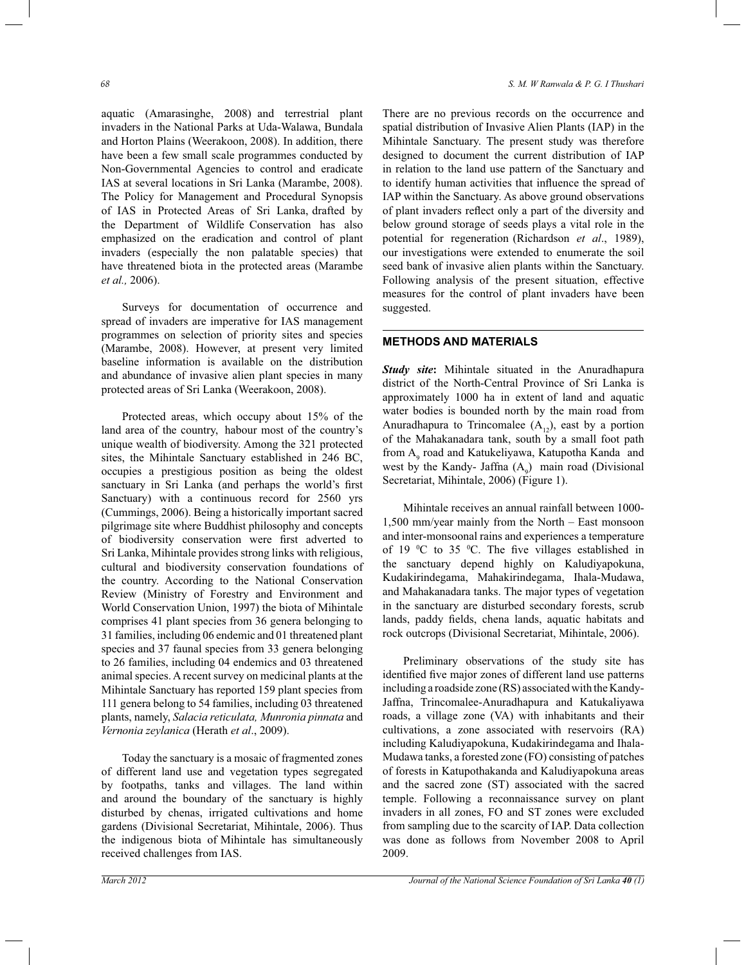aquatic (Amarasinghe, 2008) and terrestrial plant invaders in the National Parks at Uda-Walawa, Bundala and Horton Plains (Weerakoon, 2008). In addition, there have been a few small scale programmes conducted by Non-Governmental Agencies to control and eradicate IAS at several locations in Sri Lanka (Marambe, 2008). The Policy for Management and Procedural Synopsis of IAS in Protected Areas of Sri Lanka, drafted by the Department of Wildlife Conservation has also emphasized on the eradication and control of plant invaders (especially the non palatable species) that have threatened biota in the protected areas (Marambe *et al.,* 2006).

 Surveys for documentation of occurrence and spread of invaders are imperative for IAS management programmes on selection of priority sites and species (Marambe, 2008). However, at present very limited baseline information is available on the distribution and abundance of invasive alien plant species in many protected areas of Sri Lanka (Weerakoon, 2008).

 Protected areas, which occupy about 15% of the land area of the country, habour most of the country's unique wealth of biodiversity. Among the 321 protected sites, the Mihintale Sanctuary established in 246 BC, occupies a prestigious position as being the oldest sanctuary in Sri Lanka (and perhaps the world's first Sanctuary) with a continuous record for 2560 yrs (Cummings, 2006). Being a historically important sacred pilgrimage site where Buddhist philosophy and concepts of biodiversity conservation were first adverted to Sri Lanka, Mihintale provides strong links with religious, cultural and biodiversity conservation foundations of the country. According to the National Conservation Review (Ministry of Forestry and Environment and World Conservation Union, 1997) the biota of Mihintale comprises 41 plant species from 36 genera belonging to 31 families, including 06 endemic and 01 threatened plant species and 37 faunal species from 33 genera belonging to 26 families, including 04 endemics and 03 threatened animal species. A recent survey on medicinal plants at the Mihintale Sanctuary has reported 159 plant species from 111 genera belong to 54 families, including 03 threatened plants, namely, *Salacia reticulata, Munronia pinnata* and *Vernonia zeylanica* (Herath *et al*., 2009).

 Today the sanctuary is a mosaic of fragmented zones of different land use and vegetation types segregated by footpaths, tanks and villages. The land within and around the boundary of the sanctuary is highly disturbed by chenas, irrigated cultivations and home gardens (Divisional Secretariat, Mihintale, 2006). Thus the indigenous biota of Mihintale has simultaneously received challenges from IAS.

There are no previous records on the occurrence and spatial distribution of Invasive Alien Plants (IAP) in the Mihintale Sanctuary. The present study was therefore designed to document the current distribution of IAP in relation to the land use pattern of the Sanctuary and to identify human activities that influence the spread of IAP within the Sanctuary. As above ground observations of plant invaders reflect only a part of the diversity and below ground storage of seeds plays a vital role in the potential for regeneration (Richardson *et al*., 1989), our investigations were extended to enumerate the soil seed bank of invasive alien plants within the Sanctuary. Following analysis of the present situation, effective measures for the control of plant invaders have been suggested.

# **METHODS AND MATERIALS**

*Study site***:** Mihintale situated in the Anuradhapura district of the North-Central Province of Sri Lanka is approximately 1000 ha in extent of land and aquatic water bodies is bounded north by the main road from Anuradhapura to Trincomalee  $(A_{12})$ , east by a portion of the Mahakanadara tank, south by a small foot path from  $A_9$  road and Katukeliyawa, Katupotha Kanda and west by the Kandy- Jaffna  $(A_9)$  main road (Divisional Secretariat, Mihintale, 2006) (Figure 1).

 Mihintale receives an annual rainfall between 1000- 1,500 mm/year mainly from the North – East monsoon and inter-monsoonal rains and experiences a temperature of 19  $\mathrm{^0C}$  to 35  $\mathrm{^0C}$ . The five villages established in the sanctuary depend highly on Kaludiyapokuna, Kudakirindegama, Mahakirindegama, Ihala-Mudawa, and Mahakanadara tanks. The major types of vegetation in the sanctuary are disturbed secondary forests, scrub lands, paddy fields, chena lands, aquatic habitats and rock outcrops (Divisional Secretariat, Mihintale, 2006).

 Preliminary observations of the study site has identified five major zones of different land use patterns including a roadside zone (RS) associated with the Kandy-Jaffna, Trincomalee-Anuradhapura and Katukaliyawa roads, a village zone (VA) with inhabitants and their cultivations, a zone associated with reservoirs (RA) including Kaludiyapokuna, Kudakirindegama and Ihala-Mudawa tanks, a forested zone (FO) consisting of patches of forests in Katupothakanda and Kaludiyapokuna areas and the sacred zone (ST) associated with the sacred temple. Following a reconnaissance survey on plant invaders in all zones, FO and ST zones were excluded from sampling due to the scarcity of IAP. Data collection was done as follows from November 2008 to April 2009.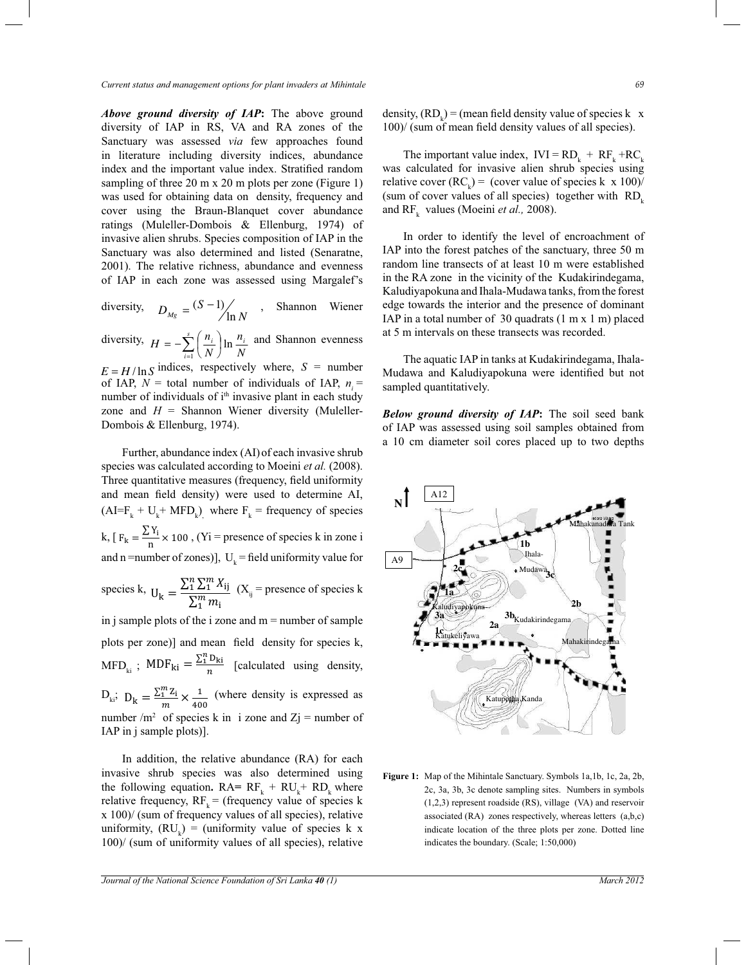*Above ground diversity of IAP***:** The above ground diversity of IAP in RS, VA and RA zones of the Sanctuary was assessed *via* few approaches found in literature including diversity indices, abundance index and the important value index. Stratified random sampling of three 20 m x 20 m plots per zone (Figure 1) was used for obtaining data on density, frequency and cover using the Braun-Blanquet cover abundance ratings (Muleller-Dombois & Ellenburg, 1974) of invasive alien shrubs. Species composition of IAP in the Sanctuary was also determined and listed (Senaratne, 2001). The relative richness, abundance and evenness of IAP in each zone was assessed using Margalef's

diversity,  $D_{Mg} = \frac{(S \Box 1)}{\ln N}$ , Shannon Wiener

diversity, *N n N*  $H = \Box \sum_{i=1}^{s} \left( \frac{n_i}{N} \right) \ln \frac{n_i}{N}$  $i=1$   $\langle IV \rangle$   $IV$  $\left(\frac{n_i}{N}\right)$  $=\left[\sum_{i=1}^{s}\left(\frac{n_i}{n}\right)\right]$  and Shannon evenness

zone and  $H =$  Shannon Wiener diversity (Mulellerof IAP,  $N =$  total number of individuals of IAP,  $n_i =$  $E = H / \ln S$  indices, respectively where,  $S =$  number number of individuals of i<sup>th</sup> invasive plant in each study Dombois & Ellenburg, 1974).

 Further, abundance index (AI)of each invasive shrub species was calculated according to Moeini *et al.* (2008). Three quantitative measures (frequency, field uniformity and mean field density) were used to determine AI,  $(AI=F<sub>k</sub> + U<sub>k</sub> + MFD<sub>k</sub>)$ , where  $F<sub>k</sub>$  = frequency of species k,  $F_k = \frac{\sum Y_i}{n}$  $\frac{N+1}{N}$  × 100, (Yi = presence of species k in zone i species k,  $U_k = \frac{\sum_{i=1}^{n} \sum_{i=1}^{m} X_{ij}}{\sum_{i=1}^{m} m_i}$ and n =number of zones)],  $U_k$  = field uniformity value for  $\sum_{1}^{m} m_i$  $(X_{ij}$  = presence of species k in j sample plots of the i zone and  $m =$  number of sample plots per zone)] and mean field density for species k,  $\text{MFD}_{ki}$ ;  $\text{MDF}_{ki} = \frac{\sum_{i=1}^{n} D_{ki}}{n}$  $\frac{2\pi i}{n}$  [calculated using density,  $D_{ki}$ ;  $D_k = \frac{\sum_{i=1}^{m} Z_i}{m}$  $\frac{n}{m}$   $\frac{Z_i}{40}$  $\frac{1}{400}$  (where density is expressed as number /m<sup>2</sup> of species k in i zone and  $Zj$  = number of IAP in j sample plots)].

 In addition, the relative abundance (RA) for each invasive shrub species was also determined using the following equation.  $RA = RF_k + RU_k + RD_k$  where relative frequency,  $RF_k =$  (frequency value of species k x 100)/ (sum of frequency values of all species), relative uniformity,  $(RU_k) = (uniformity value of species k x)$ 100)/ (sum of uniformity values of all species), relative

density,  $(RD_k)$  = (mean field density value of species k x 100)/ (sum of mean field density values of all species).

The important value index,  $IVI = RD_k + RF_k + RC_k$ was calculated for invasive alien shrub species using relative cover  $(RC_k)$  = (cover value of species k x 100)/ (sum of cover values of all species) together with  $RD<sub>k</sub>$ and  $RF_k$  values (Moeini *et al.*, 2008).

 In order to identify the level of encroachment of IAP into the forest patches of the sanctuary, three 50 m random line transects of at least 10 m were established in the RA zone in the vicinity of the Kudakirindegama, Kaludiyapokuna and Ihala-Mudawa tanks, from the forest edge towards the interior and the presence of dominant IAP in a total number of 30 quadrats (1 m х 1 m) placed at 5 m intervals on these transects was recorded.

 The aquatic IAP in tanks at Kudakirindegama, Ihala-Mudawa and Kaludiyapokuna were identified but not sampled quantitatively.

*Below ground diversity of IAP***:** The soil seed bank of IAP was assessed using soil samples obtained from a 10 cm diameter soil cores placed up to two depths



**Figure 1:** Map of the Mihintale Sanctuary. Symbols 1a,1b, 1c, 2a, 2b, 2c, 3a, 3b, 3c denote sampling sites. Numbers in symbols (1,2,3) represent roadside (RS), village (VA) and reservoir associated (RA) zones respectively, whereas letters (a,b,c) indicate location of the three plots per zone. Dotted line indicates the boundary. (Scale; 1:50,000)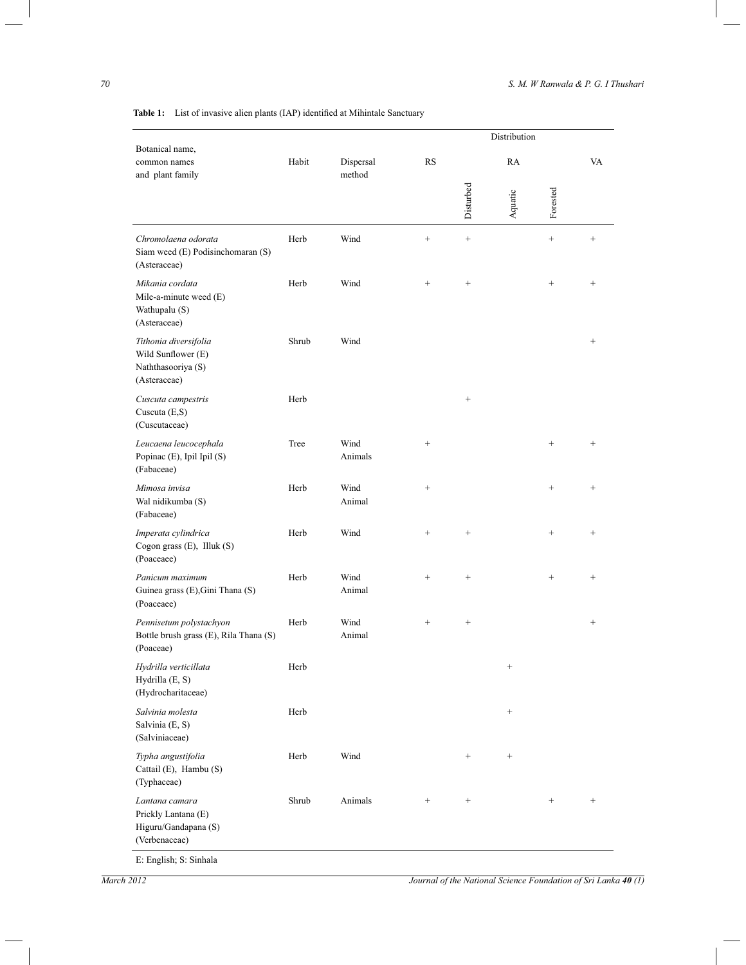ı

|                                                                                   |       |                     |                 | Distribution    |                 |          |                 |
|-----------------------------------------------------------------------------------|-------|---------------------|-----------------|-----------------|-----------------|----------|-----------------|
| Botanical name,<br>common names<br>and plant family                               | Habit | Dispersal<br>method | <b>RS</b>       |                 | RA              |          |                 |
|                                                                                   |       |                     |                 | Disturbed       | Aquatic         | Forested |                 |
| Chromolaena odorata<br>Siam weed (E) Podisinchomaran (S)<br>(Asteraceae)          | Herb  | Wind                |                 | $\! + \!\!\!\!$ |                 | $^{+}$   |                 |
| Mikania cordata<br>Mile-a-minute weed $(E)$<br>Wathupalu (S)<br>(Asteraceae)      | Herb  | Wind                |                 |                 |                 | $^{+}$   | $\! + \!\!\!\!$ |
| Tithonia diversifolia<br>Wild Sunflower (E)<br>Naththasooriya (S)<br>(Asteraceae) | Shrub | Wind                |                 |                 |                 |          |                 |
| Cuscuta campestris<br>Cuscuta $(E,S)$<br>(Cuscutaceae)                            | Herb  |                     |                 |                 |                 |          |                 |
| Leucaena leucocephala<br>Popinac (E), Ipil Ipil (S)<br>(Fabaceae)                 | Tree  | Wind<br>Animals     | $^{+}$          |                 |                 | $^{+}$   | $\! + \!\!\!\!$ |
| Mimosa invisa<br>Wal nidikumba (S)<br>(Fabaceae)                                  | Herb  | Wind<br>Animal      | $^{+}$          |                 |                 | $^{+}$   | $\! + \!\!\!\!$ |
| Imperata cylindrica<br>Cogon grass (E), Illuk (S)<br>(Poaceaee)                   | Herb  | Wind                |                 | $^{+}$          |                 | $^{+}$   |                 |
| Panicum maximum<br>Guinea grass (E), Gini Thana (S)<br>(Poaceaee)                 | Herb  | Wind<br>Animal      | $\! + \!\!\!\!$ | $^{+}$          |                 | $^{+}$   | $^{+}$          |
| Pennisetum polystachyon<br>Bottle brush grass (E), Rila Thana (S)<br>(Poaceae)    | Herb  | Wind<br>Animal      |                 | $^{+}$          |                 |          |                 |
| Hydrilla verticillata<br>Hydrilla (E, S)<br>(Hydrocharitaceae)                    | Herb  |                     |                 |                 | $^{+}$          |          |                 |
| Salvinia molesta<br>Salvinia (E, S)<br>(Salviniaceae)                             | Herb  |                     |                 |                 | $^{+}$          |          |                 |
| Typha angustifolia<br>Cattail (E), Hambu (S)<br>(Typhaceae)                       | Herb  | Wind                |                 | $^{+}$          | $\! + \!\!\!\!$ |          |                 |
| Lantana camara<br>Prickly Lantana (E)<br>Higuru/Gandapana (S)<br>(Verbenaceae)    | Shrub | Animals             | $\! + \!\!\!\!$ |                 |                 | $^{+}$   | $\! + \!\!\!\!$ |
| E: English; S: Sinhala                                                            |       |                     |                 |                 |                 |          |                 |

**Table 1:** List of invasive alien plants (IAP) identified at Mihintale Sanctuary

*March 2012 Journal of the National Science Foundation of Sri Lanka*  $40$  *(1)*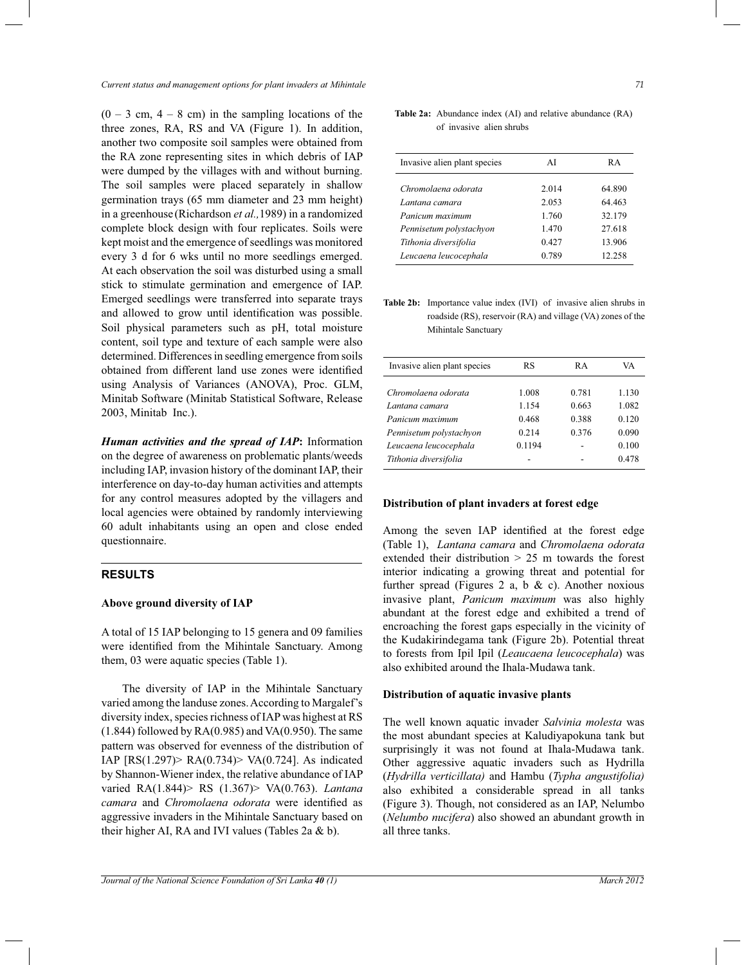*Current status and management options for plant invaders at Mihintale 71*

 $(0 - 3 \text{ cm}, 4 - 8 \text{ cm})$  in the sampling locations of the three zones, RA, RS and VA (Figure 1). In addition, another two composite soil samples were obtained from the RA zone representing sites in which debris of IAP were dumped by the villages with and without burning. The soil samples were placed separately in shallow germination trays (65 mm diameter and 23 mm height) in a greenhouse (Richardson *et al.,*1989) in a randomized complete block design with four replicates. Soils were kept moist and the emergence of seedlings was monitored every 3 d for 6 wks until no more seedlings emerged. At each observation the soil was disturbed using a small stick to stimulate germination and emergence of IAP. Emerged seedlings were transferred into separate trays and allowed to grow until identification was possible. Soil physical parameters such as pH, total moisture content, soil type and texture of each sample were also determined. Differences in seedling emergence from soils obtained from different land use zones were identified using Analysis of Variances (ANOVA), Proc. GLM, Minitab Software (Minitab Statistical Software, Release 2003, Minitab Inc.).

*Human activities and the spread of IAP***:** Information on the degree of awareness on problematic plants/weeds including IAP, invasion history of the dominant IAP, their interference on day-to-day human activities and attempts for any control measures adopted by the villagers and local agencies were obtained by randomly interviewing 60 adult inhabitants using an open and close ended questionnaire.

# **RESULTS**

#### **Above ground diversity of IAP**

A total of 15 IAP belonging to 15 genera and 09 families were identified from the Mihintale Sanctuary. Among them, 03 were aquatic species (Table 1).

The diversity of IAP in the Mihintale Sanctuary varied among the landuse zones. According to Margalef's diversity index, species richness of IAP was highest at RS  $(1.844)$  followed by RA $(0.985)$  and VA $(0.950)$ . The same pattern was observed for evenness of the distribution of IAP [RS(1.297)> RA(0.734)> VA(0.724]. As indicated by Shannon-Wiener index, the relative abundance of IAP varied RA(1.844)> RS (1.367)> VA(0.763). *Lantana camara* and *Chromolaena odorata* were identified as aggressive invaders in the Mihintale Sanctuary based on their higher AI, RA and IVI values (Tables 2a & b).

#### **Table 2a:** Abundance index (AI) and relative abundance (RA) of invasive alien shrubs

| Invasive alien plant species | ΑI    | R A    |
|------------------------------|-------|--------|
| Chromolaena odorata          | 2.014 | 64.890 |
| Lantana camara               | 2.053 | 64.463 |
| Panicum maximum              | 1 760 | 32.179 |
| Pennisetum polystachyon      | 1.470 | 27.618 |
| Tithonia diversifolia        | 0.427 | 13.906 |
| Leucaena leucocephala        | 0.789 | 12.258 |

**Table 2b:** Importance value index (IVI) of invasive alien shrubs in roadside (RS), reservoir (RA) and village (VA) zones of the Mihintale Sanctuary

| RS     | RA    | VA    |
|--------|-------|-------|
| 1.008  | 0.781 | 1.130 |
| 1.154  | 0.663 | 1.082 |
| 0.468  | 0.388 | 0.120 |
| 0.214  | 0.376 | 0.090 |
| 0.1194 |       | 0.100 |
|        |       | 0.478 |
|        |       |       |

## **Distribution of plant invaders at forest edge**

Among the seven IAP identified at the forest edge (Table 1), *Lantana camara* and *Chromolaena odorata* extended their distribution > 25 m towards the forest interior indicating a growing threat and potential for further spread (Figures 2 a, b  $\&$  c). Another noxious invasive plant, *Panicum maximum* was also highly abundant at the forest edge and exhibited a trend of encroaching the forest gaps especially in the vicinity of the Kudakirindegama tank (Figure 2b). Potential threat to forests from Ipil Ipil (*Leaucaena leucocephala*) was also exhibited around the Ihala-Mudawa tank.

#### **Distribution of aquatic invasive plants**

The well known aquatic invader *Salvinia molesta* was the most abundant species at Kaludiyapokuna tank but surprisingly it was not found at Ihala-Mudawa tank. Other aggressive aquatic invaders such as Hydrilla (*Hydrilla verticillata)* and Hambu (*Typha angustifolia)*  also exhibited a considerable spread in all tanks (Figure 3). Though, not considered as an IAP, Nelumbo (*Nelumbo nucifera*) also showed an abundant growth in all three tanks.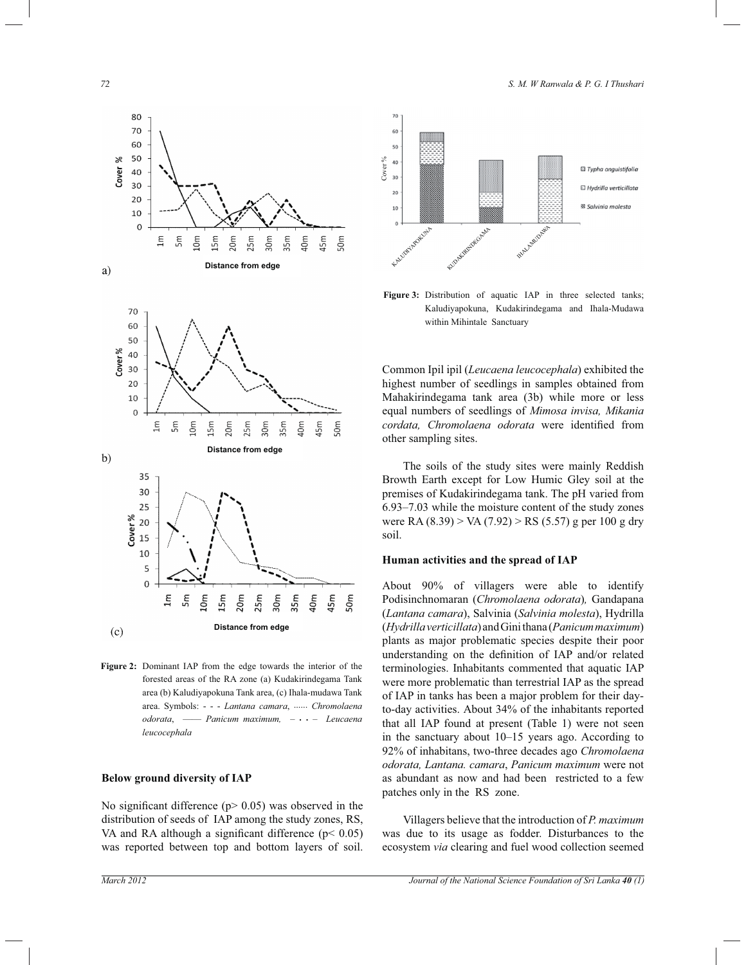





**Figure 2:** Dominant IAP from the edge towards the interior of the forested areas of the RA zone (a) Kudakirindegama Tank area (b) Kaludiyapokuna Tank area, (c) Ihala-mudawa Tank area. Symbols: - - - *Lantana camara*, ...... *Chromolaena odorata*, *–––– Panicum maximum, –* **. .** *– Leucaena leucocephala*

#### **Below ground diversity of IAP**

No significant difference  $(p > 0.05)$  was observed in the distribution of seeds of IAP among the study zones, RS, VA and RA although a significant difference  $(p< 0.05)$ was reported between top and bottom layers of soil.



**Figure 3:** Distribution of aquatic IAP in three selected tanks; Kaludiyapokuna, Kudakirindegama and Ihala-Mudawa within Mihintale Sanctuary

Common Ipil ipil (*Leucaena leucocephala*) exhibited the highest number of seedlings in samples obtained from Mahakirindegama tank area (3b) while more or less equal numbers of seedlings of *Mimosa invisa, Mikania cordata, Chromolaena odorata* were identified from other sampling sites.

 The soils of the study sites were mainly Reddish Browth Earth except for Low Humic Gley soil at the premises of Kudakirindegama tank. The pH varied from 6.93*–*7.03 while the moisture content of the study zones were RA (8.39) > VA (7.92) > RS (5.57) g per 100 g dry soil.

# **Human activities and the spread of IAP**

About 90% of villagers were able to identify Podisinchnomaran (*Chromolaena odorata*)*,* Gandapana (*Lantana camara*), Salvinia (*Salvinia molesta*), Hydrilla (*Hydrilla verticillata*) and Gini thana (*Panicum maximum*) plants as major problematic species despite their poor understanding on the definition of IAP and/or related terminologies. Inhabitants commented that aquatic IAP were more problematic than terrestrial IAP as the spread of IAP in tanks has been a major problem for their dayto-day activities. About 34% of the inhabitants reported that all IAP found at present (Table 1) were not seen in the sanctuary about 10*–*15 years ago. According to 92% of inhabitans, two-three decades ago *Chromolaena odorata, Lantana. camara*, *Panicum maximum* were not as abundant as now and had been restricted to a few patches only in the RS zone.

 Villagers believe that the introduction of *P. maximum*  was due to its usage as fodder. Disturbances to the ecosystem *via* clearing and fuel wood collection seemed

*72 S. M. W Ranwala & P. G. I Thushari*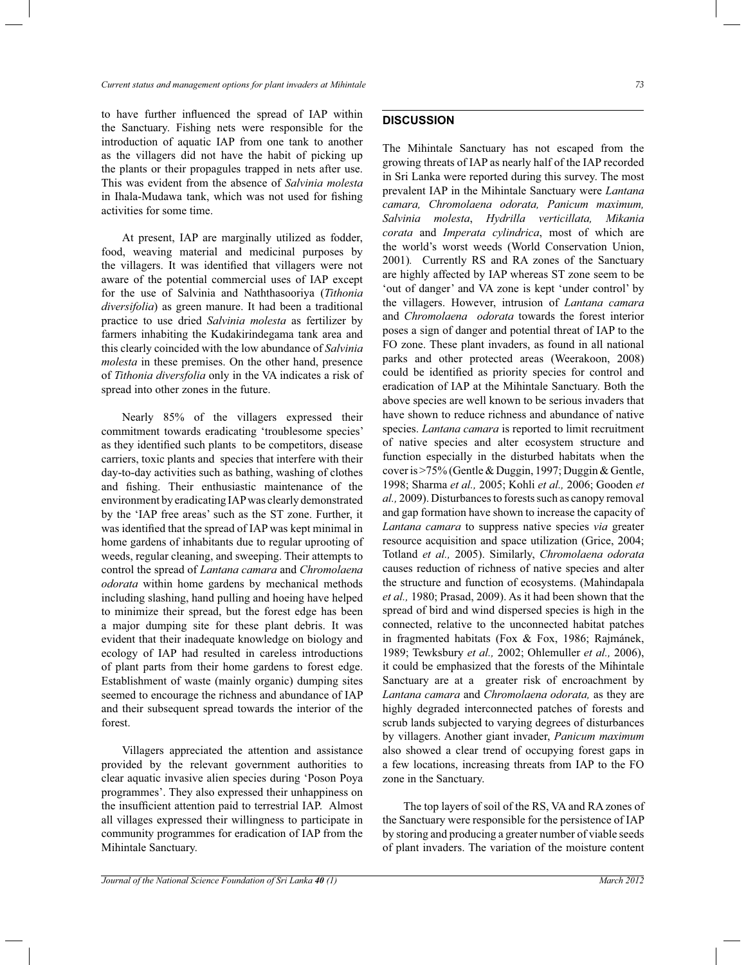to have further influenced the spread of IAP within the Sanctuary. Fishing nets were responsible for the introduction of aquatic IAP from one tank to another as the villagers did not have the habit of picking up the plants or their propagules trapped in nets after use. This was evident from the absence of *Salvinia molesta* in Ihala-Mudawa tank, which was not used for fishing activities for some time.

 At present, IAP are marginally utilized as fodder, food, weaving material and medicinal purposes by the villagers. It was identified that villagers were not aware of the potential commercial uses of IAP except for the use of Salvinia and Naththasooriya (*Tithonia diversifolia*) as green manure. It had been a traditional practice to use dried *Salvinia molesta* as fertilizer by farmers inhabiting the Kudakirindegama tank area and this clearly coincided with the low abundance of *Salvinia molesta* in these premises. On the other hand, presence of *Tithonia diversfolia* only in the VA indicates a risk of spread into other zones in the future.

 Nearly 85% of the villagers expressed their commitment towards eradicating 'troublesome species' as they identified such plants to be competitors, disease carriers, toxic plants and species that interfere with their day-to-day activities such as bathing, washing of clothes and fishing. Their enthusiastic maintenance of the environment by eradicating IAP was clearly demonstrated by the 'IAP free areas' such as the ST zone. Further, it was identified that the spread of IAP was kept minimal in home gardens of inhabitants due to regular uprooting of weeds, regular cleaning, and sweeping. Their attempts to control the spread of *Lantana camara* and *Chromolaena odorata* within home gardens by mechanical methods including slashing, hand pulling and hoeing have helped to minimize their spread, but the forest edge has been a major dumping site for these plant debris. It was evident that their inadequate knowledge on biology and ecology of IAP had resulted in careless introductions of plant parts from their home gardens to forest edge. Establishment of waste (mainly organic) dumping sites seemed to encourage the richness and abundance of IAP and their subsequent spread towards the interior of the forest.

 Villagers appreciated the attention and assistance provided by the relevant government authorities to clear aquatic invasive alien species during 'Poson Poya programmes'. They also expressed their unhappiness on the insufficient attention paid to terrestrial IAP. Almost all villages expressed their willingness to participate in community programmes for eradication of IAP from the Mihintale Sanctuary.

# **DISCUSSION**

The Mihintale Sanctuary has not escaped from the growing threats of IAP as nearly half of the IAP recorded in Sri Lanka were reported during this survey. The most prevalent IAP in the Mihintale Sanctuary were *Lantana camara, Chromolaena odorata, Panicum maximum, Salvinia molesta*, *Hydrilla verticillata, Mikania corata* and *Imperata cylindrica*, most of which are the world's worst weeds (World Conservation Union, 2001)*.* Currently RS and RA zones of the Sanctuary are highly affected by IAP whereas ST zone seem to be 'out of danger' and VA zone is kept 'under control' by the villagers. However, intrusion of *Lantana camara* and *Chromolaena odorata* towards the forest interior poses a sign of danger and potential threat of IAP to the FO zone. These plant invaders, as found in all national parks and other protected areas (Weerakoon, 2008) could be identified as priority species for control and eradication of IAP at the Mihintale Sanctuary. Both the above species are well known to be serious invaders that have shown to reduce richness and abundance of native species. *Lantana camara* is reported to limit recruitment of native species and alter ecosystem structure and function especially in the disturbed habitats when the cover is >75% (Gentle & Duggin, 1997; Duggin & Gentle, 1998; Sharma *et al.,* 2005; Kohli *et al.,* 2006; Gooden *et al.,* 2009). Disturbances to forests such as canopy removal and gap formation have shown to increase the capacity of *Lantana camara* to suppress native species *via* greater resource acquisition and space utilization (Grice, 2004; Totland *et al.,* 2005). Similarly, *Chromolaena odorata*  causes reduction of richness of native species and alter the structure and function of ecosystems. (Mahindapala *et al.,* 1980; Prasad, 2009). As it had been shown that the spread of bird and wind dispersed species is high in the connected, relative to the unconnected habitat patches in fragmented habitats (Fox & Fox, 1986; Rajmánek, 1989; Tewksbury *et al.,* 2002; Ohlemuller *et al.,* 2006), it could be emphasized that the forests of the Mihintale Sanctuary are at a greater risk of encroachment by *Lantana camara* and *Chromolaena odorata,* as they are highly degraded interconnected patches of forests and scrub lands subjected to varying degrees of disturbances by villagers. Another giant invader, *Panicum maximum* also showed a clear trend of occupying forest gaps in a few locations, increasing threats from IAP to the FO zone in the Sanctuary.

 The top layers of soil of the RS, VA and RA zones of the Sanctuary were responsible for the persistence of IAP by storing and producing a greater number of viable seeds of plant invaders. The variation of the moisture content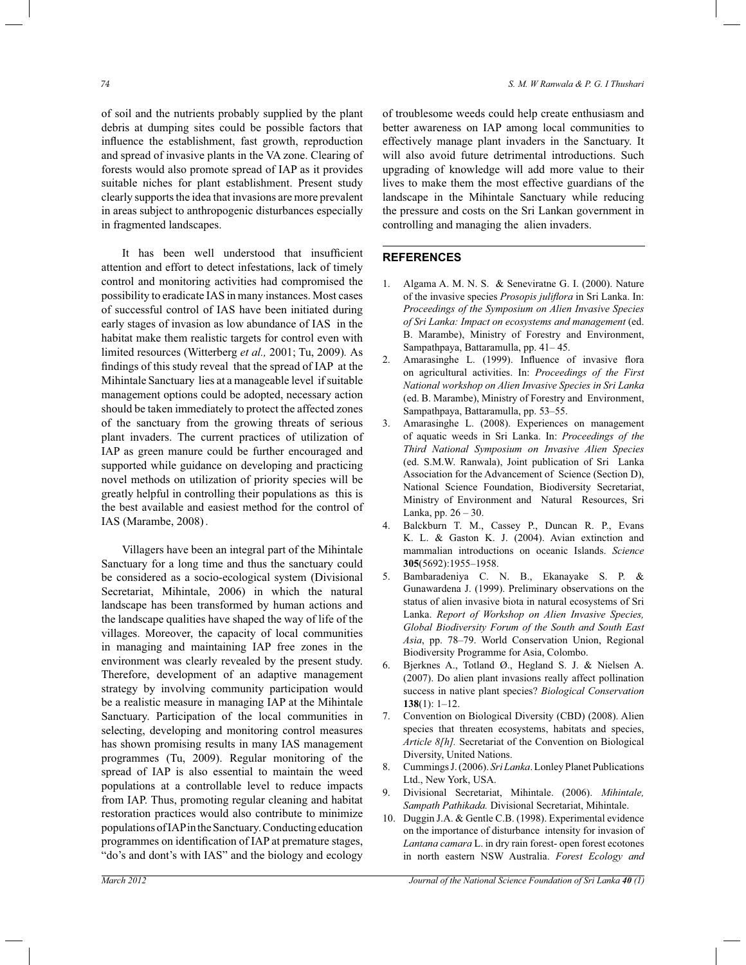of soil and the nutrients probably supplied by the plant debris at dumping sites could be possible factors that influence the establishment, fast growth, reproduction and spread of invasive plants in the VA zone. Clearing of forests would also promote spread of IAP as it provides suitable niches for plant establishment. Present study clearly supports the idea that invasions are more prevalent in areas subject to anthropogenic disturbances especially in fragmented landscapes.

 It has been well understood that insufficient attention and effort to detect infestations, lack of timely control and monitoring activities had compromised the possibility to eradicate IAS in many instances. Most cases of successful control of IAS have been initiated during early stages of invasion as low abundance of IAS in the habitat make them realistic targets for control even with limited resources (Witterberg *et al.,* 2001; Tu, 2009)*.* As findings of this study reveal that the spread of IAP at the Mihintale Sanctuary lies at a manageable level if suitable management options could be adopted, necessary action should be taken immediately to protect the affected zones of the sanctuary from the growing threats of serious plant invaders. The current practices of utilization of IAP as green manure could be further encouraged and supported while guidance on developing and practicing novel methods on utilization of priority species will be greatly helpful in controlling their populations as this is the best available and easiest method for the control of IAS (Marambe, 2008).

 Villagers have been an integral part of the Mihintale Sanctuary for a long time and thus the sanctuary could be considered as a socio-ecological system (Divisional Secretariat, Mihintale, 2006) in which the natural landscape has been transformed by human actions and the landscape qualities have shaped the way of life of the villages. Moreover, the capacity of local communities in managing and maintaining IAP free zones in the environment was clearly revealed by the present study. Therefore, development of an adaptive management strategy by involving community participation would be a realistic measure in managing IAP at the Mihintale Sanctuary. Participation of the local communities in selecting, developing and monitoring control measures has shown promising results in many IAS management programmes (Tu, 2009). Regular monitoring of the spread of IAP is also essential to maintain the weed populations at a controllable level to reduce impacts from IAP. Thus, promoting regular cleaning and habitat restoration practices would also contribute to minimize populations of IAP in the Sanctuary. Conducting education programmes on identification of IAP at premature stages, "do's and dont's with IAS" and the biology and ecology

of troublesome weeds could help create enthusiasm and better awareness on IAP among local communities to effectively manage plant invaders in the Sanctuary. It will also avoid future detrimental introductions. Such upgrading of knowledge will add more value to their lives to make them the most effective guardians of the landscape in the Mihintale Sanctuary while reducing the pressure and costs on the Sri Lankan government in controlling and managing the alien invaders.

#### **REFERENCES**

- 1. Algama A. M. N. S. & Seneviratne G. I. (2000). Nature of the invasive species *Prosopis juliflora* in Sri Lanka. In: *Proceedings of the Symposium on Alien Invasive Species of Sri Lanka: Impact on ecosystems and management* (ed. B. Marambe), Ministry of Forestry and Environment, Sampathpaya, Battaramulla, pp. 41*–* 45.
- 2. Amarasinghe L. (1999). Influence of invasive flora on agricultural activities. In: *Proceedings of the First National workshop on Alien Invasive Species in Sri Lanka* (ed. B. Marambe), Ministry of Forestry and Environment, Sampathpaya, Battaramulla, pp. 53*–*55.
- 3. Amarasinghe L. (2008). Experiences on management of aquatic weeds in Sri Lanka. In: *Proceedings of the Third National Symposium on Invasive Alien Species*  (ed. S.M.W. Ranwala), Joint publication of Sri Lanka Association for the Advancement of Science (Section D), National Science Foundation, Biodiversity Secretariat, Ministry of Environment and Natural Resources, Sri Lanka, pp. 26 *–* 30.
- 4. Balckburn T. M., Cassey P., Duncan R. P., Evans K. L. & Gaston K. J. (2004). Avian extinction and mammalian introductions on oceanic Islands. *Science* **305**(5692):1955*–*1958.
- 5. Bambaradeniya C. N. B., Ekanayake S. P. & Gunawardena J. (1999). Preliminary observations on the status of alien invasive biota in natural ecosystems of Sri Lanka. *Report of Workshop on Alien Invasive Species, Global Biodiversity Forum of the South and South East Asia*, pp. 78*–*79. World Conservation Union, Regional Biodiversity Programme for Asia, Colombo.
- 6. Bjerknes A., Totland Ø., Hegland S. J. & Nielsen A. (2007). Do alien plant invasions really affect pollination success in native plant species? *Biological Conservation* **138**(1): 1*–*12.
- 7. Convention on Biological Diversity (CBD) (2008). Alien species that threaten ecosystems, habitats and species, *Article 8[h].* Secretariat of the Convention on Biological Diversity, United Nations.
- 8. Cummings J. (2006). *Sri Lanka*. Lonley Planet Publications Ltd., New York, USA.
- 9. Divisional Secretariat, Mihintale. (2006). *Mihintale, Sampath Pathikada.* Divisional Secretariat, Mihintale.
- 10. Duggin J.A. & Gentle C.B. (1998). Experimental evidence on the importance of disturbance intensity for invasion of *Lantana camara* L. in dry rain forest- open forest ecotones in north eastern NSW Australia. *Forest Ecology and*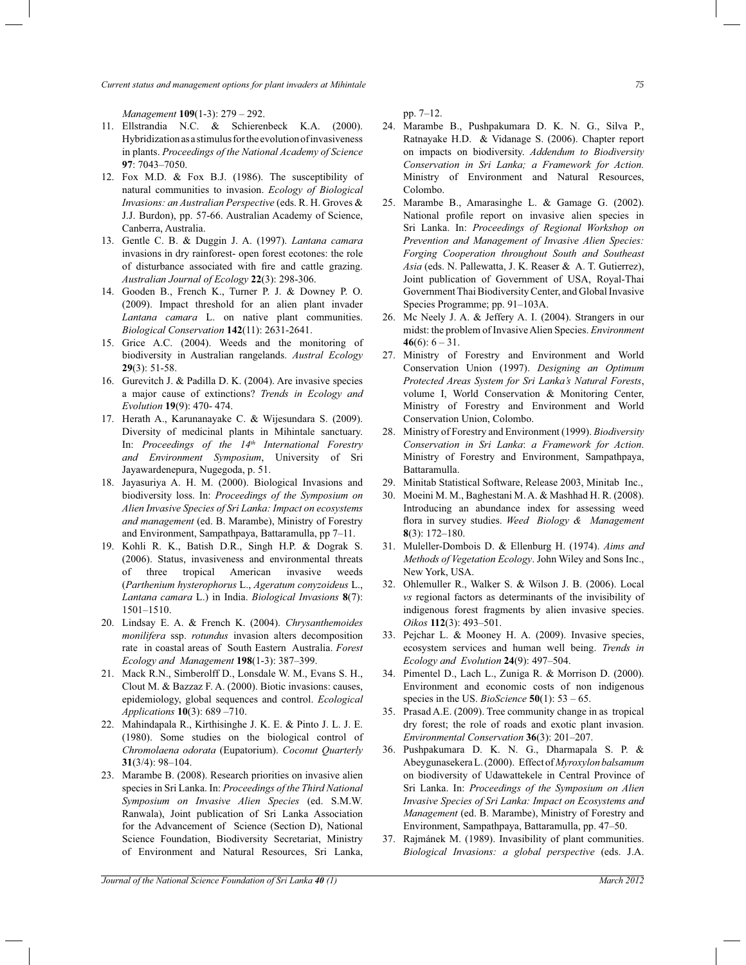*Current status and management options for plant invaders at Mihintale 75*

*Management* **109**(1-3): 279 *–* 292.

- 11. Ellstrandia N.C. & Schierenbeck K.A. (2000). Hybridization as a stimulus for the evolution of invasiveness in plants. *Proceedings of the National Academy of Science*  **97**: 7043*–*7050.
- 12. Fox M.D. & Fox B.J. (1986). The susceptibility of natural communities to invasion. *Ecology of Biological Invasions: an Australian Perspective* (eds. R. H. Groves & J.J. Burdon), pp. 57-66. Australian Academy of Science, Canberra, Australia.
- 13. Gentle C. B. & Duggin J. A. (1997). *Lantana camara* invasions in dry rainforest- open forest ecotones: the role of disturbance associated with fire and cattle grazing. *Australian Journal of Ecology* **22**(3): 298-306.
- 14. Gooden B., French K., Turner P. J. & Downey P. O. (2009). Impact threshold for an alien plant invader *Lantana camara* L. on native plant communities. *Biological Conservation* **142**(11): 2631-2641.
- 15. Grice A.C. (2004). Weeds and the monitoring of biodiversity in Australian rangelands. *Austral Ecology* **29**(3): 51-58.
- 16. Gurevitch J. & Padilla D. K. (2004). Are invasive species a major cause of extinctions? *Trends in Ecology and Evolution* **19**(9): 470- 474.
- 17. Herath A., Karunanayake C. & Wijesundara S. (2009). Diversity of medicinal plants in Mihintale sanctuary. In: *Proceedings of the 14th International Forestry and Environment Symposium*, University of Sri Jayawardenepura, Nugegoda, p. 51.
- 18. Jayasuriya A. H. M. (2000). Biological Invasions and biodiversity loss. In: *Proceedings of the Symposium on Alien Invasive Species of Sri Lanka: Impact on ecosystems and management* (ed. B. Marambe), Ministry of Forestry and Environment, Sampathpaya, Battaramulla, pp 7*–*11.
- 19. Kohli R. K., Batish D.R., Singh H.P. & Dograk S. (2006). Status, invasiveness and environmental threats of three tropical American invasive weeds (*Parthenium hysterophorus* L., *Ageratum conyzoideus* L., *Lantana camara* L.) in India. *Biological Invasions* **8**(7): 1501*–*1510.
- 20. Lindsay E. A. & French K. (2004). *Chrysanthemoides monilifera* ssp. *rotundus* invasion alters decomposition rate in coastal areas of South Eastern Australia. *Forest Ecology and Management* **198**(1-3): 387*–*399.
- 21. Mack R.N., Simberolff D., Lonsdale W. M., Evans S. H., Clout M. & Bazzaz F. A. (2000). Biotic invasions: causes, epidemiology, global sequences and control. *Ecological Applications* **10**(3): 689 *–*710.
- 22. Mahindapala R., Kirthisinghe J. K. E. & Pinto J. L. J. E. (1980). Some studies on the biological control of *Chromolaena odorata* (Eupatorium). *Coconut Quarterly* **31**(3/4): 98*–*104.
- 23. Marambe B. (2008). Research priorities on invasive alien species in Sri Lanka. In: *Proceedings of the Third National Symposium on Invasive Alien Species* (ed. S.M.W. Ranwala), Joint publication of Sri Lanka Association for the Advancement of Science (Section D), National Science Foundation, Biodiversity Secretariat, Ministry of Environment and Natural Resources, Sri Lanka,

pp. 7*–*12.

- 24. Marambe B., Pushpakumara D. K. N. G., Silva P., Ratnayake H.D. & Vidanage S. (2006). Chapter report on impacts on biodiversity. *Addendum to Biodiversity Conservation in Sri Lanka; a Framework for Action.*  Ministry of Environment and Natural Resources, Colombo.
- 25. Marambe B., Amarasinghe L. & Gamage G. (2002). National profile report on invasive alien species in Sri Lanka. In: *Proceedings of Regional Workshop on Prevention and Management of Invasive Alien Species: Forging Cooperation throughout South and Southeast Asia* (eds. N. Pallewatta, J. K. Reaser & A. T. Gutierrez), Joint publication of Government of USA, Royal-Thai Government Thai Biodiversity Center, and Global Invasive Species Programme; pp. 91*–*103A.
- 26. Mc Neely J. A. & Jeffery A. I. (2004). Strangers in our midst: the problem of Invasive Alien Species. *Environment*  **46**(6):  $6 - 31$ .
- 27. Ministry of Forestry and Environment and World Conservation Union (1997). *Designing an Optimum Protected Areas System for Sri Lanka's Natural Forests*, volume I, World Conservation & Monitoring Center, Ministry of Forestry and Environment and World Conservation Union, Colombo.
- 28. Ministry of Forestry and Environment (1999). *Biodiversity Conservation in Sri Lanka*: *a Framework for Action*. Ministry of Forestry and Environment, Sampathpaya, Battaramulla.
- 29. Minitab Statistical Software, Release 2003, Minitab Inc.,
- 30. Moeini M. M., Baghestani M. A. & Mashhad H. R. (2008). Introducing an abundance index for assessing weed flora in survey studies. *Weed Biology & Management*  **8**(3): 172*–*180.
- 31. Muleller-Dombois D. & Ellenburg H. (1974). *Aims and Methods of Vegetation Ecology*. John Wiley and Sons Inc., New York, USA.
- 32. Ohlemuller R., Walker S. & Wilson J. B. (2006). Local *vs* regional factors as determinants of the invisibility of indigenous forest fragments by alien invasive species. *Oikos* **112**(3): 493*–*501.
- 33. Pejchar L. & Mooney H. A. (2009). Invasive species, ecosystem services and human well being. *Trends in Ecology and Evolution* **24**(9): 497*–*504.
- 34. Pimentel D., Lach L., Zuniga R. & Morrison D. (2000). Environment and economic costs of non indigenous species in the US. *BioScience* **50**(1): 53 *–* 65.
- 35. Prasad A.E. (2009). Tree community change in as tropical dry forest; the role of roads and exotic plant invasion. *Environmental Conservation* **36**(3): 201*–*207.
- 36. Pushpakumara D. K. N. G., Dharmapala S. P. & Abeygunasekera L. (2000). Effect of *Myroxylon balsamum* on biodiversity of Udawattekele in Central Province of Sri Lanka. In: *Proceedings of the Symposium on Alien Invasive Species of Sri Lanka: Impact on Ecosystems and Management* (ed. B. Marambe), Ministry of Forestry and Environment, Sampathpaya, Battaramulla, pp. 47*–*50.
- 37. Rajmánek M. (1989). Invasibility of plant communities. *Biological Invasions: a global perspective* (eds. J.A.